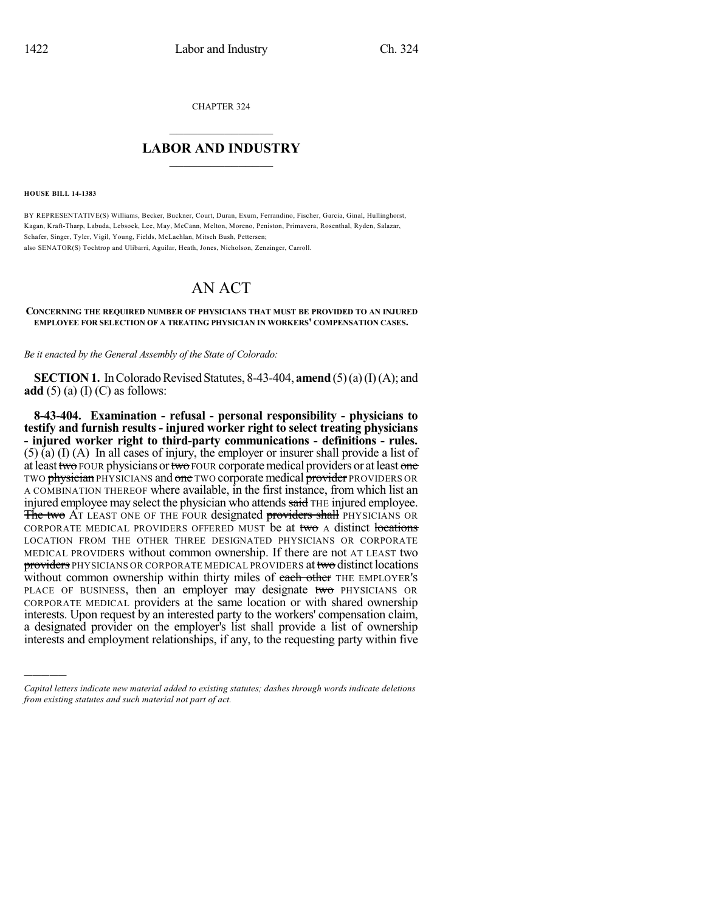CHAPTER 324

## $\overline{\phantom{a}}$  . The set of the set of the set of the set of the set of the set of the set of the set of the set of the set of the set of the set of the set of the set of the set of the set of the set of the set of the set o **LABOR AND INDUSTRY**  $\frac{1}{\sqrt{2}}$  ,  $\frac{1}{\sqrt{2}}$  ,  $\frac{1}{\sqrt{2}}$  ,  $\frac{1}{\sqrt{2}}$  ,  $\frac{1}{\sqrt{2}}$  ,  $\frac{1}{\sqrt{2}}$

**HOUSE BILL 14-1383**

)))))

BY REPRESENTATIVE(S) Williams, Becker, Buckner, Court, Duran, Exum, Ferrandino, Fischer, Garcia, Ginal, Hullinghorst, Kagan, Kraft-Tharp, Labuda, Lebsock, Lee, May, McCann, Melton, Moreno, Peniston, Primavera, Rosenthal, Ryden, Salazar, Schafer, Singer, Tyler, Vigil, Young, Fields, McLachlan, Mitsch Bush, Pettersen; also SENATOR(S) Tochtrop and Ulibarri, Aguilar, Heath, Jones, Nicholson, Zenzinger, Carroll.

## AN ACT

## **CONCERNING THE REQUIRED NUMBER OF PHYSICIANS THAT MUST BE PROVIDED TO AN INJURED EMPLOYEE FOR SELECTION OF A TREATING PHYSICIAN IN WORKERS' COMPENSATION CASES.**

*Be it enacted by the General Assembly of the State of Colorado:*

**SECTION 1.** In Colorado Revised Statutes, 8-43-404, **amend** (5)(a)(I)(A); and **add** (5) (a) (I) (C) as follows:

**8-43-404. Examination - refusal - personal responsibility - physicians to testify and furnish results - injured worker right to select treating physicians - injured worker right to third-party communications - definitions - rules.** (5) (a) (I) (A) In all cases of injury, the employer or insurer shall provide a list of at least two FOUR physicians or two FOUR corporate medical providers or at least one TWO physician PHYSICIANS and one TWO corporate medical provider PROVIDERS OR A COMBINATION THEREOF where available, in the first instance, from which list an injured employee may select the physician who attends said THE injured employee. The two AT LEAST ONE OF THE FOUR designated providers shall PHYSICIANS OR CORPORATE MEDICAL PROVIDERS OFFERED MUST be at two A distinct locations LOCATION FROM THE OTHER THREE DESIGNATED PHYSICIANS OR CORPORATE MEDICAL PROVIDERS without common ownership. If there are not AT LEAST two providers PHYSICIANS OR CORPORATE MEDICAL PROVIDERS at two distinct locations without common ownership within thirty miles of each other THE EMPLOYER's PLACE OF BUSINESS, then an employer may designate two PHYSICIANS OR CORPORATE MEDICAL providers at the same location or with shared ownership interests. Upon request by an interested party to the workers' compensation claim, a designated provider on the employer's list shall provide a list of ownership interests and employment relationships, if any, to the requesting party within five

*Capital letters indicate new material added to existing statutes; dashes through words indicate deletions from existing statutes and such material not part of act.*